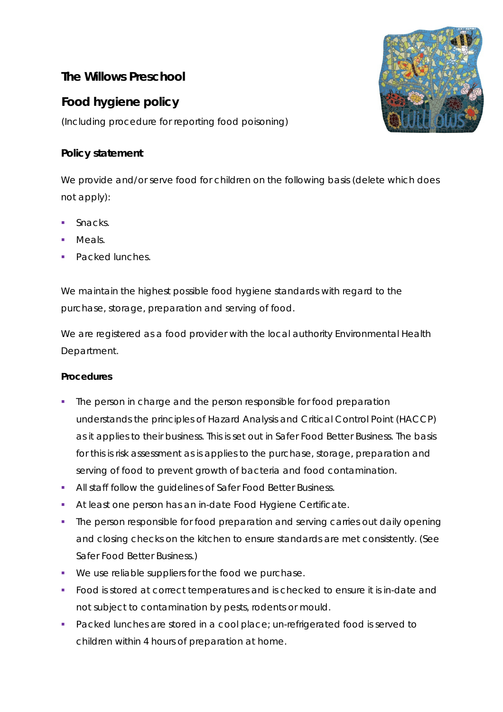# **The Willows Preschool**

# **Food hygiene policy**

(Including procedure for reporting food poisoning)

## **Policy statement**

We provide and/or serve food for children on the following basis (delete which does not apply):

- Snacks.
- Meals.
- **Packed lunches.**

We maintain the highest possible food hygiene standards with regard to the purchase, storage, preparation and serving of food.

We are registered as a food provider with the local authority Environmental Health Department.

### **Procedures**

- The person in charge and the person responsible for food preparation understands the principles of Hazard Analysis and Critical Control Point (HACCP) as it applies to their business. This is set out in *Safer Food Better Business*. The basis for this is risk assessment as is applies to the purchase, storage, preparation and serving of food to prevent growth of bacteria and food contamination.
- All staff follow the guidelines *of Safer Food Better Business*.
- At least one person has an in-date Food Hygiene Certificate.
- The person responsible for food preparation and serving carries out daily opening and closing checks on the kitchen to ensure standards are met consistently. (See *Safer Food Better Business.*)
- We use reliable suppliers for the food we purchase.
- Food is stored at correct temperatures and is checked to ensure it is in-date and not subject to contamination by pests, rodents or mould.
- Packed lunches are stored in a cool place; un-refrigerated food is served to children within 4 hours of preparation at home.